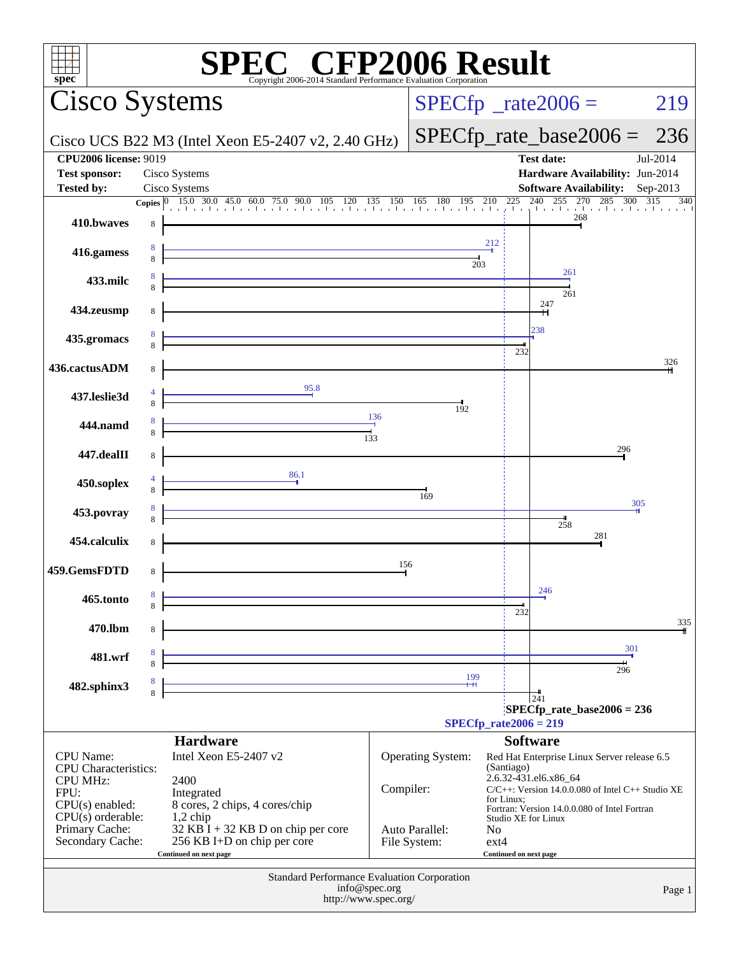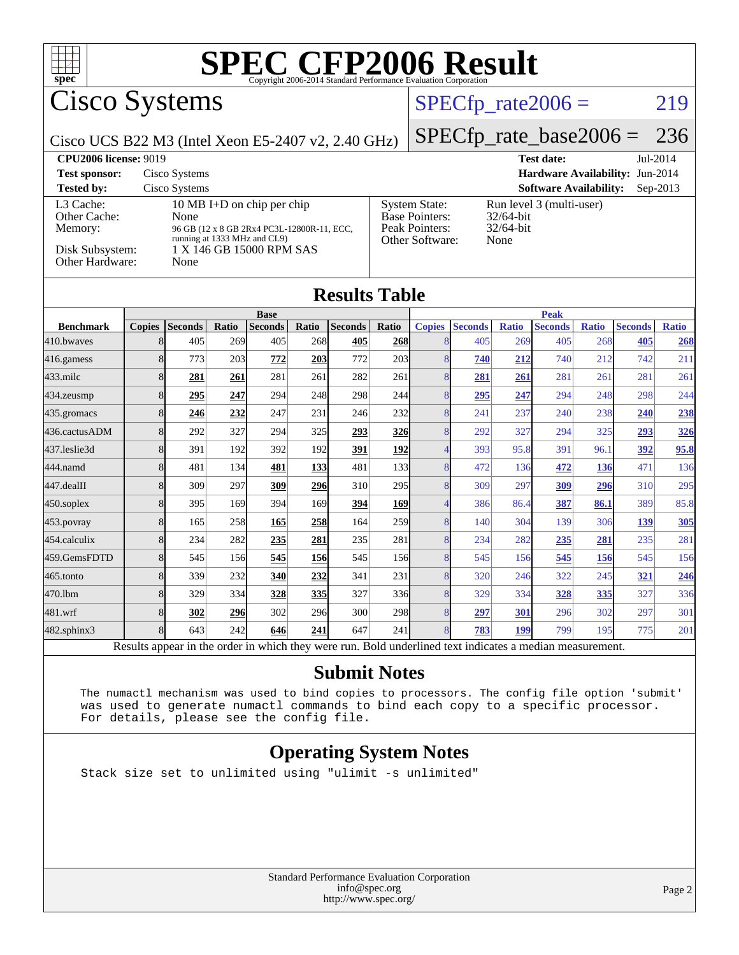

Cisco Systems

## $SPECfp_rate2006 = 219$  $SPECfp_rate2006 = 219$

Cisco UCS B22 M3 (Intel Xeon E5-2407 v2, 2.40 GHz)

[SPECfp\\_rate\\_base2006 =](http://www.spec.org/auto/cpu2006/Docs/result-fields.html#SPECfpratebase2006) 236

| <b>CPU2006 license: 9019</b>                                               |                                                                                                                                                      |                                                                                    | <b>Test date:</b><br>Jul-2014                                    |
|----------------------------------------------------------------------------|------------------------------------------------------------------------------------------------------------------------------------------------------|------------------------------------------------------------------------------------|------------------------------------------------------------------|
| <b>Test sponsor:</b>                                                       | Cisco Systems                                                                                                                                        |                                                                                    | Hardware Availability: Jun-2014                                  |
| <b>Tested by:</b>                                                          | Cisco Systems                                                                                                                                        |                                                                                    | <b>Software Availability:</b><br>$Sep-2013$                      |
| L3 Cache:<br>Other Cache:<br>Memory:<br>Disk Subsystem:<br>Other Hardware: | 10 MB I+D on chip per chip<br>None<br>96 GB (12 x 8 GB 2Rx4 PC3L-12800R-11, ECC,<br>running at 1333 MHz and CL9)<br>1 X 146 GB 15000 RPM SAS<br>None | <b>System State:</b><br><b>Base Pointers:</b><br>Peak Pointers:<br>Other Software: | Run level 3 (multi-user)<br>$32/64$ -bit<br>$32/64$ -bit<br>None |

#### **[Results Table](http://www.spec.org/auto/cpu2006/Docs/result-fields.html#ResultsTable)**

|                   |                |                |       | <b>Base</b>    |            |                |                  |               |                |              | <b>Peak</b>    |              |                |              |
|-------------------|----------------|----------------|-------|----------------|------------|----------------|------------------|---------------|----------------|--------------|----------------|--------------|----------------|--------------|
| <b>Benchmark</b>  | <b>Copies</b>  | <b>Seconds</b> | Ratio | <b>Seconds</b> | Ratio      | <b>Seconds</b> | Ratio            | <b>Copies</b> | <b>Seconds</b> | <b>Ratio</b> | <b>Seconds</b> | <b>Ratio</b> | <b>Seconds</b> | <b>Ratio</b> |
| 410.bwaves        | 8              | 405            | 269   | 405            | 268        | 405            | 268              |               | 405            | 269          | 405            | 268          | 405            | 268          |
| 416.gamess        |                | 773            | 203   | 772            | 203        | 772            | 203              |               | 740            | 212          | 740            | 212          | 742            | 211          |
| $433$ .milc       | 8              | 281            | 261   | 281            | 261        | 282            | 261              | 8             | 281            | 261          | 281            | 261          | 281            | 261          |
| 434.zeusmp        | 8              | 295            | 247   | 294            | 248        | 298            | 244              | 8             | <u>295</u>     | 247          | 294            | 248          | 298            | 244          |
| 435.gromacs       | 8              | 246            | 232   | 247            | 231        | 246            | 232              | 8             | 241            | 237          | 240            | 238          | 240            | 238          |
| 436.cactusADM     | 8              | 292            | 327   | 294            | 325        | 293            | 326              |               | 292            | 327          | 294            | 325          | 293            | 326          |
| 437.leslie3d      | 8              | 391            | 192   | 392            | 192        | 391            | <u>192</u>       |               | 393            | 95.8         | 391            | 96.1         | 392            | 95.8         |
| 444.namd          | 8              | 481            | 134   | 481            | 133        | 481            | 133              | 8             | 472            | 136          | 472            | <u>136</u>   | 471            | 136          |
| 447.dealII        | 8              | 309            | 297   | 309            | 296        | 310            | 295 <sub>l</sub> | 8             | 309            | 297          | 309            | 296          | 310            | 295          |
| $ 450$ .soplex    | 8              | 395            | 169   | 394            | 169        | 394            | 169              |               | 386            | 86.4         | 387            | 86.1         | 389            | 85.8         |
| 453.povray        | 8              | 165            | 258   | 165            | 258        | 164            | 259              | 8             | 140            | 304          | 139            | 306          | 139            | 305          |
| 454.calculix      | 8              | 234            | 282   | 235            | 281        | 235            | 281              | 8             | 234            | 282          | 235            | 281          | 235            | 281          |
| 459.GemsFDTD      | 8              | 545            | 156   | 545            | 156        | 545            | 156              | 8             | 545            | 156          | 545            | <b>156</b>   | 545            | 156          |
| 465.tonto         | 8              | 339            | 232   | 340            | 232        | 341            | 231              | 8             | 320            | 246          | 322            | 245          | 321            | 246          |
| 470.1bm           | 8              | 329            | 334   | 328            | <u>335</u> | 327            | 336              | 8             | 329            | 334          | 328            | 335          | 327            | 336          |
| $481$ .wrf        | 8              | 302            | 296   | 302            | 296        | 300            | <b>298</b>       | 8             | 297            | 301          | 296            | 302          | 297            | 301          |
| $482$ .sphinx $3$ | 8 <sub>1</sub> | 643            | 242   | 646            | 241        | 647            | 241              |               | 783            | 199          | 799            | 195          | 775            | 201          |
|                   |                |                |       | .              |            |                |                  |               |                |              |                |              |                |              |

Results appear in the [order in which they were run.](http://www.spec.org/auto/cpu2006/Docs/result-fields.html#RunOrder) Bold underlined text [indicates a median measurement.](http://www.spec.org/auto/cpu2006/Docs/result-fields.html#Median)

#### **[Submit Notes](http://www.spec.org/auto/cpu2006/Docs/result-fields.html#SubmitNotes)**

 The numactl mechanism was used to bind copies to processors. The config file option 'submit' was used to generate numactl commands to bind each copy to a specific processor. For details, please see the config file.

#### **[Operating System Notes](http://www.spec.org/auto/cpu2006/Docs/result-fields.html#OperatingSystemNotes)**

Stack size set to unlimited using "ulimit -s unlimited"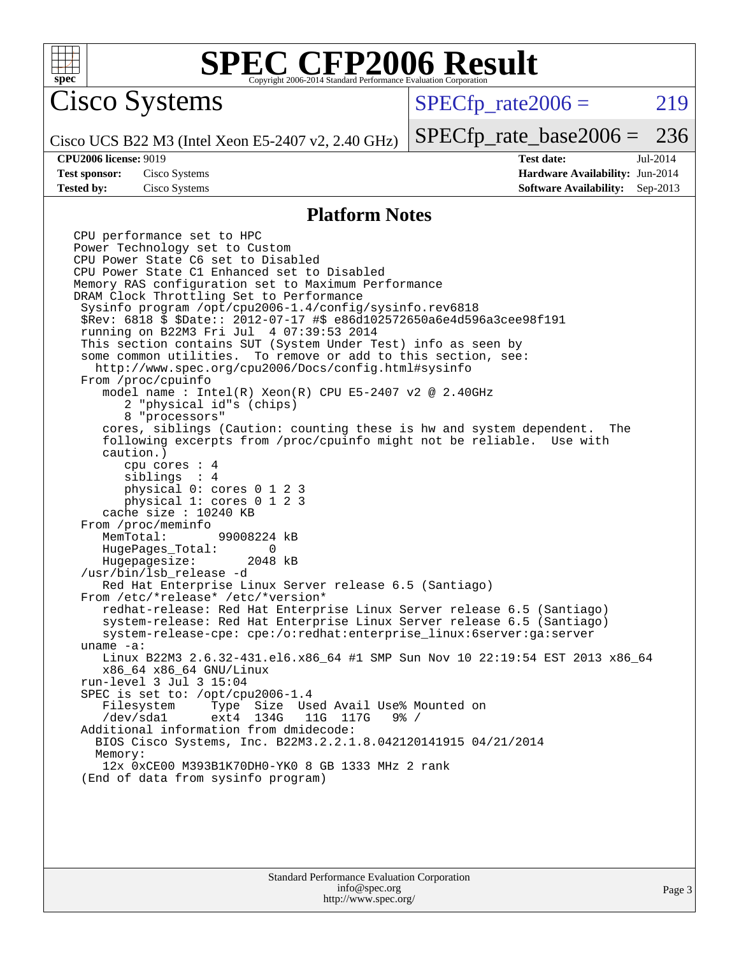

Cisco Systems

 $SPECTp\_rate2006 = 219$ 

Cisco UCS B22 M3 (Intel Xeon E5-2407 v2, 2.40 GHz)

[SPECfp\\_rate\\_base2006 =](http://www.spec.org/auto/cpu2006/Docs/result-fields.html#SPECfpratebase2006) 236

**[Tested by:](http://www.spec.org/auto/cpu2006/Docs/result-fields.html#Testedby)** Cisco Systems **[Software Availability:](http://www.spec.org/auto/cpu2006/Docs/result-fields.html#SoftwareAvailability)** Sep-2013

**[CPU2006 license:](http://www.spec.org/auto/cpu2006/Docs/result-fields.html#CPU2006license)** 9019 **[Test date:](http://www.spec.org/auto/cpu2006/Docs/result-fields.html#Testdate)** Jul-2014 **[Test sponsor:](http://www.spec.org/auto/cpu2006/Docs/result-fields.html#Testsponsor)** Cisco Systems **[Hardware Availability:](http://www.spec.org/auto/cpu2006/Docs/result-fields.html#HardwareAvailability)** Jun-2014

#### **[Platform Notes](http://www.spec.org/auto/cpu2006/Docs/result-fields.html#PlatformNotes)**

CPU performance set to HPC Power Technology set to Custom CPU Power State C6 set to Disabled CPU Power State C1 Enhanced set to Disabled Memory RAS configuration set to Maximum Performance DRAM Clock Throttling Set to Performance Sysinfo program /opt/cpu2006-1.4/config/sysinfo.rev6818 \$Rev: 6818 \$ \$Date:: 2012-07-17 #\$ e86d102572650a6e4d596a3cee98f191 running on B22M3 Fri Jul 4 07:39:53 2014 This section contains SUT (System Under Test) info as seen by some common utilities. To remove or add to this section, see: <http://www.spec.org/cpu2006/Docs/config.html#sysinfo> From /proc/cpuinfo model name : Intel(R) Xeon(R) CPU E5-2407 v2 @ 2.40GHz 2 "physical id"s (chips) 8 "processors" cores, siblings (Caution: counting these is hw and system dependent. The following excerpts from /proc/cpuinfo might not be reliable. Use with caution.) cpu cores : 4 siblings : 4 physical 0: cores 0 1 2 3 physical 1: cores 0 1 2 3 cache size : 10240 KB From /proc/meminfo<br>MemTotal: 99008224 kB HugePages\_Total: 0<br>Hugepagesize: 2048 kB Hugepagesize: /usr/bin/lsb\_release -d Red Hat Enterprise Linux Server release 6.5 (Santiago) From /etc/\*release\* /etc/\*version\* redhat-release: Red Hat Enterprise Linux Server release 6.5 (Santiago) system-release: Red Hat Enterprise Linux Server release 6.5 (Santiago) system-release-cpe: cpe:/o:redhat:enterprise\_linux:6server:ga:server uname -a: Linux B22M3 2.6.32-431.el6.x86\_64 #1 SMP Sun Nov 10 22:19:54 EST 2013 x86\_64 x86\_64 x86\_64 GNU/Linux run-level 3 Jul 3 15:04 SPEC is set to: /opt/cpu2006-1.4 Filesystem Type Size Used-Avail-Use%-Mounted-on-<br>  $\sqrt{\text{dev}}$  sall ext4 134G 11G 117G 9% / /dev/sda1 ext4 134G 11G 117G 9% / Additional information from dmidecode: BIOS Cisco Systems, Inc. B22M3.2.2.1.8.042120141915 04/21/2014 Memory: 12x 0xCE00 M393B1K70DH0-YK0 8 GB 1333 MHz 2 rank (End of data from sysinfo program)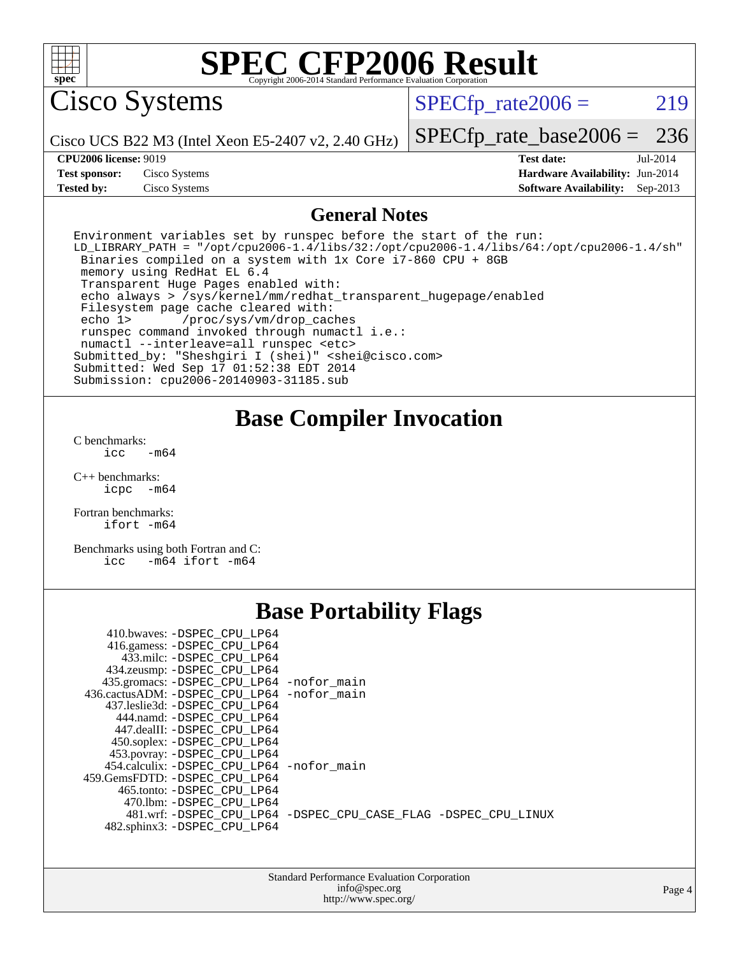

Cisco Systems

 $SPECTp\_rate2006 = 219$ 

Cisco UCS B22 M3 (Intel Xeon E5-2407 v2, 2.40 GHz)

[SPECfp\\_rate\\_base2006 =](http://www.spec.org/auto/cpu2006/Docs/result-fields.html#SPECfpratebase2006) 236

**[Tested by:](http://www.spec.org/auto/cpu2006/Docs/result-fields.html#Testedby)** Cisco Systems **[Software Availability:](http://www.spec.org/auto/cpu2006/Docs/result-fields.html#SoftwareAvailability)** Sep-2013

**[CPU2006 license:](http://www.spec.org/auto/cpu2006/Docs/result-fields.html#CPU2006license)** 9019 **[Test date:](http://www.spec.org/auto/cpu2006/Docs/result-fields.html#Testdate)** Jul-2014 **[Test sponsor:](http://www.spec.org/auto/cpu2006/Docs/result-fields.html#Testsponsor)** Cisco Systems **[Hardware Availability:](http://www.spec.org/auto/cpu2006/Docs/result-fields.html#HardwareAvailability)** Jun-2014

#### **[General Notes](http://www.spec.org/auto/cpu2006/Docs/result-fields.html#GeneralNotes)**

Environment variables set by runspec before the start of the run: LD\_LIBRARY\_PATH = "/opt/cpu2006-1.4/libs/32:/opt/cpu2006-1.4/libs/64:/opt/cpu2006-1.4/sh" Binaries compiled on a system with 1x Core i7-860 CPU + 8GB memory using RedHat EL 6.4 Transparent Huge Pages enabled with: echo always > /sys/kernel/mm/redhat\_transparent\_hugepage/enabled Filesystem page cache cleared with: echo 1> /proc/sys/vm/drop\_caches runspec command invoked through numactl i.e.: numactl --interleave=all runspec <etc> Submitted\_by: "Sheshgiri I (shei)" <shei@cisco.com> Submitted: Wed Sep 17 01:52:38 EDT 2014 Submission: cpu2006-20140903-31185.sub

### **[Base Compiler Invocation](http://www.spec.org/auto/cpu2006/Docs/result-fields.html#BaseCompilerInvocation)**

[C benchmarks](http://www.spec.org/auto/cpu2006/Docs/result-fields.html#Cbenchmarks):  $icc$   $-m64$ 

[C++ benchmarks:](http://www.spec.org/auto/cpu2006/Docs/result-fields.html#CXXbenchmarks) [icpc -m64](http://www.spec.org/cpu2006/results/res2014q3/cpu2006-20140903-31185.flags.html#user_CXXbase_intel_icpc_64bit_bedb90c1146cab66620883ef4f41a67e)

[Fortran benchmarks](http://www.spec.org/auto/cpu2006/Docs/result-fields.html#Fortranbenchmarks): [ifort -m64](http://www.spec.org/cpu2006/results/res2014q3/cpu2006-20140903-31185.flags.html#user_FCbase_intel_ifort_64bit_ee9d0fb25645d0210d97eb0527dcc06e)

[Benchmarks using both Fortran and C](http://www.spec.org/auto/cpu2006/Docs/result-fields.html#BenchmarksusingbothFortranandC): [icc -m64](http://www.spec.org/cpu2006/results/res2014q3/cpu2006-20140903-31185.flags.html#user_CC_FCbase_intel_icc_64bit_0b7121f5ab7cfabee23d88897260401c) [ifort -m64](http://www.spec.org/cpu2006/results/res2014q3/cpu2006-20140903-31185.flags.html#user_CC_FCbase_intel_ifort_64bit_ee9d0fb25645d0210d97eb0527dcc06e)

## **[Base Portability Flags](http://www.spec.org/auto/cpu2006/Docs/result-fields.html#BasePortabilityFlags)**

| 435.gromacs: -DSPEC_CPU_LP64 -nofor_main                       |
|----------------------------------------------------------------|
| 436.cactusADM: -DSPEC CPU LP64 -nofor main                     |
|                                                                |
|                                                                |
|                                                                |
|                                                                |
|                                                                |
| 454.calculix: - DSPEC CPU LP64 - nofor main                    |
|                                                                |
|                                                                |
|                                                                |
| 481.wrf: -DSPEC CPU_LP64 -DSPEC_CPU_CASE_FLAG -DSPEC_CPU_LINUX |
|                                                                |
|                                                                |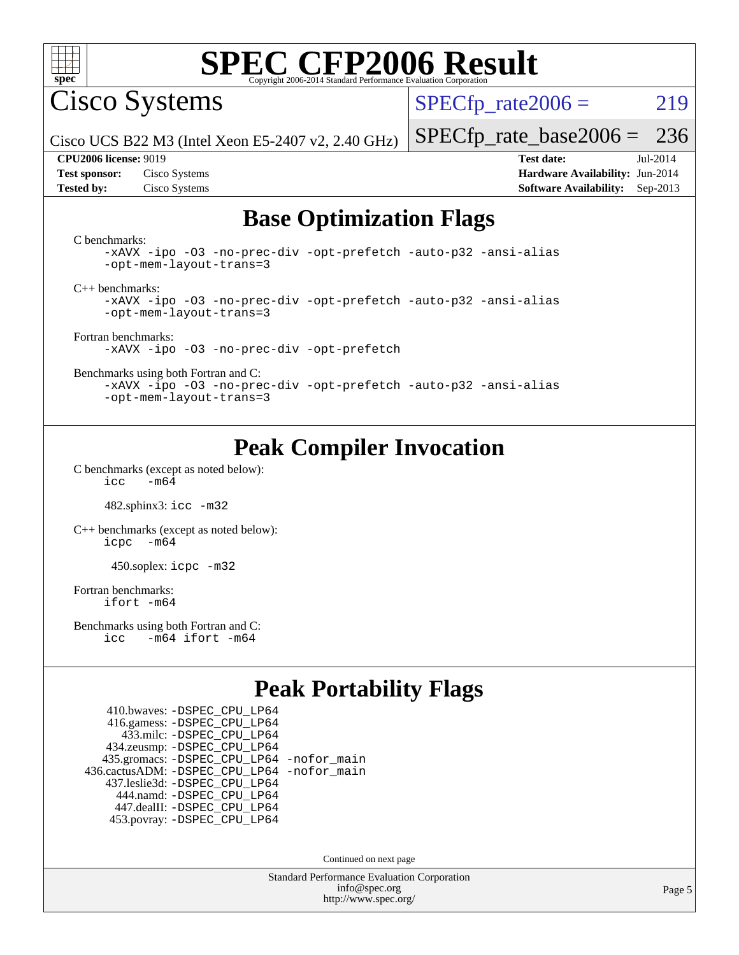

Cisco Systems

 $SPECTp\_rate2006 = 219$ 

Cisco UCS B22 M3 (Intel Xeon E5-2407 v2, 2.40 GHz)

**[Test sponsor:](http://www.spec.org/auto/cpu2006/Docs/result-fields.html#Testsponsor)** Cisco Systems **[Hardware Availability:](http://www.spec.org/auto/cpu2006/Docs/result-fields.html#HardwareAvailability)** Jun-2014

[SPECfp\\_rate\\_base2006 =](http://www.spec.org/auto/cpu2006/Docs/result-fields.html#SPECfpratebase2006) 236 **[CPU2006 license:](http://www.spec.org/auto/cpu2006/Docs/result-fields.html#CPU2006license)** 9019 **[Test date:](http://www.spec.org/auto/cpu2006/Docs/result-fields.html#Testdate)** Jul-2014

**[Tested by:](http://www.spec.org/auto/cpu2006/Docs/result-fields.html#Testedby)** Cisco Systems **[Software Availability:](http://www.spec.org/auto/cpu2006/Docs/result-fields.html#SoftwareAvailability)** Sep-2013

## **[Base Optimization Flags](http://www.spec.org/auto/cpu2006/Docs/result-fields.html#BaseOptimizationFlags)**

[C benchmarks](http://www.spec.org/auto/cpu2006/Docs/result-fields.html#Cbenchmarks):

[-xAVX](http://www.spec.org/cpu2006/results/res2014q3/cpu2006-20140903-31185.flags.html#user_CCbase_f-xAVX) [-ipo](http://www.spec.org/cpu2006/results/res2014q3/cpu2006-20140903-31185.flags.html#user_CCbase_f-ipo) [-O3](http://www.spec.org/cpu2006/results/res2014q3/cpu2006-20140903-31185.flags.html#user_CCbase_f-O3) [-no-prec-div](http://www.spec.org/cpu2006/results/res2014q3/cpu2006-20140903-31185.flags.html#user_CCbase_f-no-prec-div) [-opt-prefetch](http://www.spec.org/cpu2006/results/res2014q3/cpu2006-20140903-31185.flags.html#user_CCbase_f-opt-prefetch) [-auto-p32](http://www.spec.org/cpu2006/results/res2014q3/cpu2006-20140903-31185.flags.html#user_CCbase_f-auto-p32) [-ansi-alias](http://www.spec.org/cpu2006/results/res2014q3/cpu2006-20140903-31185.flags.html#user_CCbase_f-ansi-alias) [-opt-mem-layout-trans=3](http://www.spec.org/cpu2006/results/res2014q3/cpu2006-20140903-31185.flags.html#user_CCbase_f-opt-mem-layout-trans_a7b82ad4bd7abf52556d4961a2ae94d5) [C++ benchmarks:](http://www.spec.org/auto/cpu2006/Docs/result-fields.html#CXXbenchmarks)

[-xAVX](http://www.spec.org/cpu2006/results/res2014q3/cpu2006-20140903-31185.flags.html#user_CXXbase_f-xAVX) [-ipo](http://www.spec.org/cpu2006/results/res2014q3/cpu2006-20140903-31185.flags.html#user_CXXbase_f-ipo) [-O3](http://www.spec.org/cpu2006/results/res2014q3/cpu2006-20140903-31185.flags.html#user_CXXbase_f-O3) [-no-prec-div](http://www.spec.org/cpu2006/results/res2014q3/cpu2006-20140903-31185.flags.html#user_CXXbase_f-no-prec-div) [-opt-prefetch](http://www.spec.org/cpu2006/results/res2014q3/cpu2006-20140903-31185.flags.html#user_CXXbase_f-opt-prefetch) [-auto-p32](http://www.spec.org/cpu2006/results/res2014q3/cpu2006-20140903-31185.flags.html#user_CXXbase_f-auto-p32) [-ansi-alias](http://www.spec.org/cpu2006/results/res2014q3/cpu2006-20140903-31185.flags.html#user_CXXbase_f-ansi-alias) [-opt-mem-layout-trans=3](http://www.spec.org/cpu2006/results/res2014q3/cpu2006-20140903-31185.flags.html#user_CXXbase_f-opt-mem-layout-trans_a7b82ad4bd7abf52556d4961a2ae94d5)

[Fortran benchmarks](http://www.spec.org/auto/cpu2006/Docs/result-fields.html#Fortranbenchmarks): [-xAVX](http://www.spec.org/cpu2006/results/res2014q3/cpu2006-20140903-31185.flags.html#user_FCbase_f-xAVX) [-ipo](http://www.spec.org/cpu2006/results/res2014q3/cpu2006-20140903-31185.flags.html#user_FCbase_f-ipo) [-O3](http://www.spec.org/cpu2006/results/res2014q3/cpu2006-20140903-31185.flags.html#user_FCbase_f-O3) [-no-prec-div](http://www.spec.org/cpu2006/results/res2014q3/cpu2006-20140903-31185.flags.html#user_FCbase_f-no-prec-div) [-opt-prefetch](http://www.spec.org/cpu2006/results/res2014q3/cpu2006-20140903-31185.flags.html#user_FCbase_f-opt-prefetch)

[Benchmarks using both Fortran and C](http://www.spec.org/auto/cpu2006/Docs/result-fields.html#BenchmarksusingbothFortranandC):

[-xAVX](http://www.spec.org/cpu2006/results/res2014q3/cpu2006-20140903-31185.flags.html#user_CC_FCbase_f-xAVX) [-ipo](http://www.spec.org/cpu2006/results/res2014q3/cpu2006-20140903-31185.flags.html#user_CC_FCbase_f-ipo) [-O3](http://www.spec.org/cpu2006/results/res2014q3/cpu2006-20140903-31185.flags.html#user_CC_FCbase_f-O3) [-no-prec-div](http://www.spec.org/cpu2006/results/res2014q3/cpu2006-20140903-31185.flags.html#user_CC_FCbase_f-no-prec-div) [-opt-prefetch](http://www.spec.org/cpu2006/results/res2014q3/cpu2006-20140903-31185.flags.html#user_CC_FCbase_f-opt-prefetch) [-auto-p32](http://www.spec.org/cpu2006/results/res2014q3/cpu2006-20140903-31185.flags.html#user_CC_FCbase_f-auto-p32) [-ansi-alias](http://www.spec.org/cpu2006/results/res2014q3/cpu2006-20140903-31185.flags.html#user_CC_FCbase_f-ansi-alias) [-opt-mem-layout-trans=3](http://www.spec.org/cpu2006/results/res2014q3/cpu2006-20140903-31185.flags.html#user_CC_FCbase_f-opt-mem-layout-trans_a7b82ad4bd7abf52556d4961a2ae94d5)

## **[Peak Compiler Invocation](http://www.spec.org/auto/cpu2006/Docs/result-fields.html#PeakCompilerInvocation)**

[C benchmarks \(except as noted below\)](http://www.spec.org/auto/cpu2006/Docs/result-fields.html#Cbenchmarksexceptasnotedbelow):  $\text{icc}$  -m64

482.sphinx3: [icc -m32](http://www.spec.org/cpu2006/results/res2014q3/cpu2006-20140903-31185.flags.html#user_peakCCLD482_sphinx3_intel_icc_a6a621f8d50482236b970c6ac5f55f93)

[C++ benchmarks \(except as noted below\):](http://www.spec.org/auto/cpu2006/Docs/result-fields.html#CXXbenchmarksexceptasnotedbelow) [icpc -m64](http://www.spec.org/cpu2006/results/res2014q3/cpu2006-20140903-31185.flags.html#user_CXXpeak_intel_icpc_64bit_bedb90c1146cab66620883ef4f41a67e)

450.soplex: [icpc -m32](http://www.spec.org/cpu2006/results/res2014q3/cpu2006-20140903-31185.flags.html#user_peakCXXLD450_soplex_intel_icpc_4e5a5ef1a53fd332b3c49e69c3330699)

[Fortran benchmarks](http://www.spec.org/auto/cpu2006/Docs/result-fields.html#Fortranbenchmarks): [ifort -m64](http://www.spec.org/cpu2006/results/res2014q3/cpu2006-20140903-31185.flags.html#user_FCpeak_intel_ifort_64bit_ee9d0fb25645d0210d97eb0527dcc06e)

[Benchmarks using both Fortran and C](http://www.spec.org/auto/cpu2006/Docs/result-fields.html#BenchmarksusingbothFortranandC): [icc -m64](http://www.spec.org/cpu2006/results/res2014q3/cpu2006-20140903-31185.flags.html#user_CC_FCpeak_intel_icc_64bit_0b7121f5ab7cfabee23d88897260401c) [ifort -m64](http://www.spec.org/cpu2006/results/res2014q3/cpu2006-20140903-31185.flags.html#user_CC_FCpeak_intel_ifort_64bit_ee9d0fb25645d0210d97eb0527dcc06e)

## **[Peak Portability Flags](http://www.spec.org/auto/cpu2006/Docs/result-fields.html#PeakPortabilityFlags)**

 410.bwaves: [-DSPEC\\_CPU\\_LP64](http://www.spec.org/cpu2006/results/res2014q3/cpu2006-20140903-31185.flags.html#suite_peakPORTABILITY410_bwaves_DSPEC_CPU_LP64) 416.gamess: [-DSPEC\\_CPU\\_LP64](http://www.spec.org/cpu2006/results/res2014q3/cpu2006-20140903-31185.flags.html#suite_peakPORTABILITY416_gamess_DSPEC_CPU_LP64) 433.milc: [-DSPEC\\_CPU\\_LP64](http://www.spec.org/cpu2006/results/res2014q3/cpu2006-20140903-31185.flags.html#suite_peakPORTABILITY433_milc_DSPEC_CPU_LP64) 434.zeusmp: [-DSPEC\\_CPU\\_LP64](http://www.spec.org/cpu2006/results/res2014q3/cpu2006-20140903-31185.flags.html#suite_peakPORTABILITY434_zeusmp_DSPEC_CPU_LP64) 435.gromacs: [-DSPEC\\_CPU\\_LP64](http://www.spec.org/cpu2006/results/res2014q3/cpu2006-20140903-31185.flags.html#suite_peakPORTABILITY435_gromacs_DSPEC_CPU_LP64) [-nofor\\_main](http://www.spec.org/cpu2006/results/res2014q3/cpu2006-20140903-31185.flags.html#user_peakLDPORTABILITY435_gromacs_f-nofor_main) 436.cactusADM: [-DSPEC\\_CPU\\_LP64](http://www.spec.org/cpu2006/results/res2014q3/cpu2006-20140903-31185.flags.html#suite_peakPORTABILITY436_cactusADM_DSPEC_CPU_LP64) [-nofor\\_main](http://www.spec.org/cpu2006/results/res2014q3/cpu2006-20140903-31185.flags.html#user_peakLDPORTABILITY436_cactusADM_f-nofor_main) 437.leslie3d: [-DSPEC\\_CPU\\_LP64](http://www.spec.org/cpu2006/results/res2014q3/cpu2006-20140903-31185.flags.html#suite_peakPORTABILITY437_leslie3d_DSPEC_CPU_LP64) 444.namd: [-DSPEC\\_CPU\\_LP64](http://www.spec.org/cpu2006/results/res2014q3/cpu2006-20140903-31185.flags.html#suite_peakPORTABILITY444_namd_DSPEC_CPU_LP64) 447.dealII: [-DSPEC\\_CPU\\_LP64](http://www.spec.org/cpu2006/results/res2014q3/cpu2006-20140903-31185.flags.html#suite_peakPORTABILITY447_dealII_DSPEC_CPU_LP64) 453.povray: [-DSPEC\\_CPU\\_LP64](http://www.spec.org/cpu2006/results/res2014q3/cpu2006-20140903-31185.flags.html#suite_peakPORTABILITY453_povray_DSPEC_CPU_LP64)

Continued on next page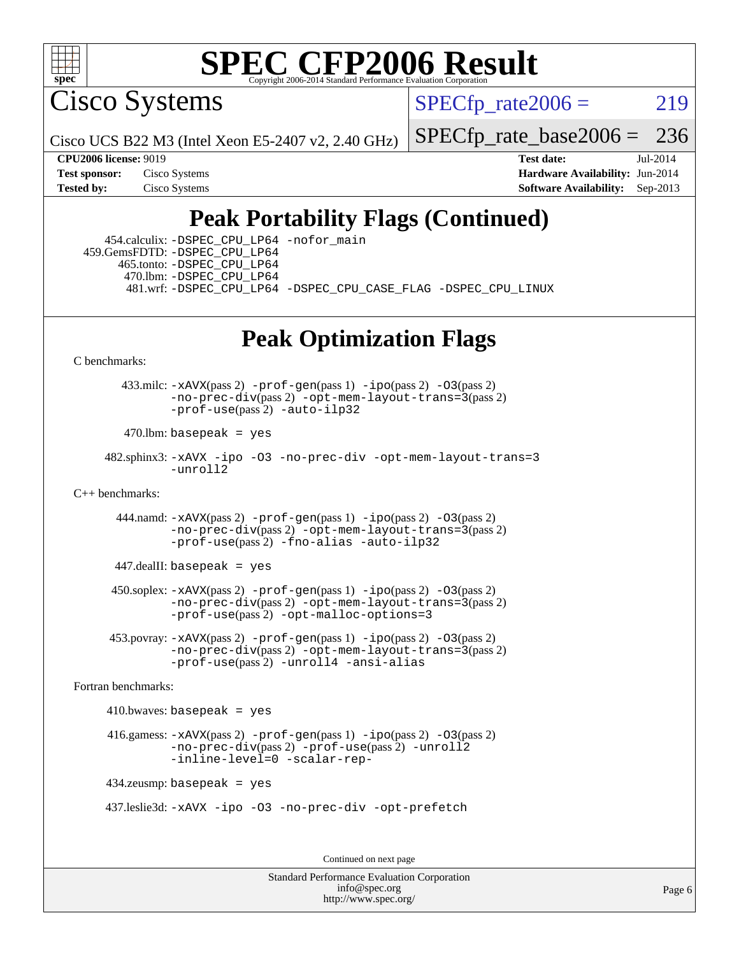

Cisco Systems

 $SPECTp\_rate2006 = 219$ 

Cisco UCS B22 M3 (Intel Xeon E5-2407 v2, 2.40 GHz)

[SPECfp\\_rate\\_base2006 =](http://www.spec.org/auto/cpu2006/Docs/result-fields.html#SPECfpratebase2006) 236

**[CPU2006 license:](http://www.spec.org/auto/cpu2006/Docs/result-fields.html#CPU2006license)** 9019 **[Test date:](http://www.spec.org/auto/cpu2006/Docs/result-fields.html#Testdate)** Jul-2014 **[Test sponsor:](http://www.spec.org/auto/cpu2006/Docs/result-fields.html#Testsponsor)** Cisco Systems **[Hardware Availability:](http://www.spec.org/auto/cpu2006/Docs/result-fields.html#HardwareAvailability)** Jun-2014 **[Tested by:](http://www.spec.org/auto/cpu2006/Docs/result-fields.html#Testedby)** Cisco Systems **[Software Availability:](http://www.spec.org/auto/cpu2006/Docs/result-fields.html#SoftwareAvailability)** Sep-2013

## **[Peak Portability Flags \(Continued\)](http://www.spec.org/auto/cpu2006/Docs/result-fields.html#PeakPortabilityFlags)**

 454.calculix: [-DSPEC\\_CPU\\_LP64](http://www.spec.org/cpu2006/results/res2014q3/cpu2006-20140903-31185.flags.html#suite_peakPORTABILITY454_calculix_DSPEC_CPU_LP64) [-nofor\\_main](http://www.spec.org/cpu2006/results/res2014q3/cpu2006-20140903-31185.flags.html#user_peakLDPORTABILITY454_calculix_f-nofor_main) 459.GemsFDTD: [-DSPEC\\_CPU\\_LP64](http://www.spec.org/cpu2006/results/res2014q3/cpu2006-20140903-31185.flags.html#suite_peakPORTABILITY459_GemsFDTD_DSPEC_CPU_LP64) 465.tonto: [-DSPEC\\_CPU\\_LP64](http://www.spec.org/cpu2006/results/res2014q3/cpu2006-20140903-31185.flags.html#suite_peakPORTABILITY465_tonto_DSPEC_CPU_LP64) 470.lbm: [-DSPEC\\_CPU\\_LP64](http://www.spec.org/cpu2006/results/res2014q3/cpu2006-20140903-31185.flags.html#suite_peakPORTABILITY470_lbm_DSPEC_CPU_LP64) 481.wrf: [-DSPEC\\_CPU\\_LP64](http://www.spec.org/cpu2006/results/res2014q3/cpu2006-20140903-31185.flags.html#suite_peakPORTABILITY481_wrf_DSPEC_CPU_LP64) [-DSPEC\\_CPU\\_CASE\\_FLAG](http://www.spec.org/cpu2006/results/res2014q3/cpu2006-20140903-31185.flags.html#b481.wrf_peakCPORTABILITY_DSPEC_CPU_CASE_FLAG) [-DSPEC\\_CPU\\_LINUX](http://www.spec.org/cpu2006/results/res2014q3/cpu2006-20140903-31185.flags.html#b481.wrf_peakCPORTABILITY_DSPEC_CPU_LINUX)

## **[Peak Optimization Flags](http://www.spec.org/auto/cpu2006/Docs/result-fields.html#PeakOptimizationFlags)**

[C benchmarks](http://www.spec.org/auto/cpu2006/Docs/result-fields.html#Cbenchmarks):

433.milc:  $-xAUX(pass 2) -prof-gen(pass 1) -ipo(pass 2) -O3(pass 2)$  $-xAUX(pass 2) -prof-gen(pass 1) -ipo(pass 2) -O3(pass 2)$  $-xAUX(pass 2) -prof-gen(pass 1) -ipo(pass 2) -O3(pass 2)$  $-xAUX(pass 2) -prof-gen(pass 1) -ipo(pass 2) -O3(pass 2)$  $-xAUX(pass 2) -prof-gen(pass 1) -ipo(pass 2) -O3(pass 2)$  $-xAUX(pass 2) -prof-gen(pass 1) -ipo(pass 2) -O3(pass 2)$  $-xAUX(pass 2) -prof-gen(pass 1) -ipo(pass 2) -O3(pass 2)$ [-no-prec-div](http://www.spec.org/cpu2006/results/res2014q3/cpu2006-20140903-31185.flags.html#user_peakPASS2_CFLAGSPASS2_LDFLAGS433_milc_f-no-prec-div)(pass 2) [-opt-mem-layout-trans=3](http://www.spec.org/cpu2006/results/res2014q3/cpu2006-20140903-31185.flags.html#user_peakPASS2_CFLAGS433_milc_f-opt-mem-layout-trans_a7b82ad4bd7abf52556d4961a2ae94d5)(pass 2) [-prof-use](http://www.spec.org/cpu2006/results/res2014q3/cpu2006-20140903-31185.flags.html#user_peakPASS2_CFLAGSPASS2_LDFLAGS433_milc_prof_use_bccf7792157ff70d64e32fe3e1250b55)(pass 2) [-auto-ilp32](http://www.spec.org/cpu2006/results/res2014q3/cpu2006-20140903-31185.flags.html#user_peakCOPTIMIZE433_milc_f-auto-ilp32)

 $470.$ lbm: basepeak = yes

 482.sphinx3: [-xAVX](http://www.spec.org/cpu2006/results/res2014q3/cpu2006-20140903-31185.flags.html#user_peakOPTIMIZE482_sphinx3_f-xAVX) [-ipo](http://www.spec.org/cpu2006/results/res2014q3/cpu2006-20140903-31185.flags.html#user_peakOPTIMIZE482_sphinx3_f-ipo) [-O3](http://www.spec.org/cpu2006/results/res2014q3/cpu2006-20140903-31185.flags.html#user_peakOPTIMIZE482_sphinx3_f-O3) [-no-prec-div](http://www.spec.org/cpu2006/results/res2014q3/cpu2006-20140903-31185.flags.html#user_peakOPTIMIZE482_sphinx3_f-no-prec-div) [-opt-mem-layout-trans=3](http://www.spec.org/cpu2006/results/res2014q3/cpu2006-20140903-31185.flags.html#user_peakOPTIMIZE482_sphinx3_f-opt-mem-layout-trans_a7b82ad4bd7abf52556d4961a2ae94d5) [-unroll2](http://www.spec.org/cpu2006/results/res2014q3/cpu2006-20140903-31185.flags.html#user_peakCOPTIMIZE482_sphinx3_f-unroll_784dae83bebfb236979b41d2422d7ec2)

[C++ benchmarks:](http://www.spec.org/auto/cpu2006/Docs/result-fields.html#CXXbenchmarks)

 444.namd: [-xAVX](http://www.spec.org/cpu2006/results/res2014q3/cpu2006-20140903-31185.flags.html#user_peakPASS2_CXXFLAGSPASS2_LDFLAGS444_namd_f-xAVX)(pass 2) [-prof-gen](http://www.spec.org/cpu2006/results/res2014q3/cpu2006-20140903-31185.flags.html#user_peakPASS1_CXXFLAGSPASS1_LDFLAGS444_namd_prof_gen_e43856698f6ca7b7e442dfd80e94a8fc)(pass 1) [-ipo](http://www.spec.org/cpu2006/results/res2014q3/cpu2006-20140903-31185.flags.html#user_peakPASS2_CXXFLAGSPASS2_LDFLAGS444_namd_f-ipo)(pass 2) [-O3](http://www.spec.org/cpu2006/results/res2014q3/cpu2006-20140903-31185.flags.html#user_peakPASS2_CXXFLAGSPASS2_LDFLAGS444_namd_f-O3)(pass 2) [-no-prec-div](http://www.spec.org/cpu2006/results/res2014q3/cpu2006-20140903-31185.flags.html#user_peakPASS2_CXXFLAGSPASS2_LDFLAGS444_namd_f-no-prec-div)(pass 2) [-opt-mem-layout-trans=3](http://www.spec.org/cpu2006/results/res2014q3/cpu2006-20140903-31185.flags.html#user_peakPASS2_CXXFLAGS444_namd_f-opt-mem-layout-trans_a7b82ad4bd7abf52556d4961a2ae94d5)(pass 2) [-prof-use](http://www.spec.org/cpu2006/results/res2014q3/cpu2006-20140903-31185.flags.html#user_peakPASS2_CXXFLAGSPASS2_LDFLAGS444_namd_prof_use_bccf7792157ff70d64e32fe3e1250b55)(pass 2) [-fno-alias](http://www.spec.org/cpu2006/results/res2014q3/cpu2006-20140903-31185.flags.html#user_peakCXXOPTIMIZE444_namd_f-no-alias_694e77f6c5a51e658e82ccff53a9e63a) [-auto-ilp32](http://www.spec.org/cpu2006/results/res2014q3/cpu2006-20140903-31185.flags.html#user_peakCXXOPTIMIZE444_namd_f-auto-ilp32)

 $447$ .dealII: basepeak = yes

 450.soplex: [-xAVX](http://www.spec.org/cpu2006/results/res2014q3/cpu2006-20140903-31185.flags.html#user_peakPASS2_CXXFLAGSPASS2_LDFLAGS450_soplex_f-xAVX)(pass 2) [-prof-gen](http://www.spec.org/cpu2006/results/res2014q3/cpu2006-20140903-31185.flags.html#user_peakPASS1_CXXFLAGSPASS1_LDFLAGS450_soplex_prof_gen_e43856698f6ca7b7e442dfd80e94a8fc)(pass 1) [-ipo](http://www.spec.org/cpu2006/results/res2014q3/cpu2006-20140903-31185.flags.html#user_peakPASS2_CXXFLAGSPASS2_LDFLAGS450_soplex_f-ipo)(pass 2) [-O3](http://www.spec.org/cpu2006/results/res2014q3/cpu2006-20140903-31185.flags.html#user_peakPASS2_CXXFLAGSPASS2_LDFLAGS450_soplex_f-O3)(pass 2) [-no-prec-div](http://www.spec.org/cpu2006/results/res2014q3/cpu2006-20140903-31185.flags.html#user_peakPASS2_CXXFLAGSPASS2_LDFLAGS450_soplex_f-no-prec-div)(pass 2) [-opt-mem-layout-trans=3](http://www.spec.org/cpu2006/results/res2014q3/cpu2006-20140903-31185.flags.html#user_peakPASS2_CXXFLAGS450_soplex_f-opt-mem-layout-trans_a7b82ad4bd7abf52556d4961a2ae94d5)(pass 2) [-prof-use](http://www.spec.org/cpu2006/results/res2014q3/cpu2006-20140903-31185.flags.html#user_peakPASS2_CXXFLAGSPASS2_LDFLAGS450_soplex_prof_use_bccf7792157ff70d64e32fe3e1250b55)(pass 2) [-opt-malloc-options=3](http://www.spec.org/cpu2006/results/res2014q3/cpu2006-20140903-31185.flags.html#user_peakOPTIMIZE450_soplex_f-opt-malloc-options_13ab9b803cf986b4ee62f0a5998c2238)

453.povray:  $-xAVX(pass 2)$  $-xAVX(pass 2)$  [-prof-gen](http://www.spec.org/cpu2006/results/res2014q3/cpu2006-20140903-31185.flags.html#user_peakPASS1_CXXFLAGSPASS1_LDFLAGS453_povray_prof_gen_e43856698f6ca7b7e442dfd80e94a8fc)(pass 1) [-ipo](http://www.spec.org/cpu2006/results/res2014q3/cpu2006-20140903-31185.flags.html#user_peakPASS2_CXXFLAGSPASS2_LDFLAGS453_povray_f-ipo)(pass 2) -03(pass 2) [-no-prec-div](http://www.spec.org/cpu2006/results/res2014q3/cpu2006-20140903-31185.flags.html#user_peakPASS2_CXXFLAGSPASS2_LDFLAGS453_povray_f-no-prec-div)(pass 2) [-opt-mem-layout-trans=3](http://www.spec.org/cpu2006/results/res2014q3/cpu2006-20140903-31185.flags.html#user_peakPASS2_CXXFLAGS453_povray_f-opt-mem-layout-trans_a7b82ad4bd7abf52556d4961a2ae94d5)(pass 2) [-prof-use](http://www.spec.org/cpu2006/results/res2014q3/cpu2006-20140903-31185.flags.html#user_peakPASS2_CXXFLAGSPASS2_LDFLAGS453_povray_prof_use_bccf7792157ff70d64e32fe3e1250b55)(pass 2) [-unroll4](http://www.spec.org/cpu2006/results/res2014q3/cpu2006-20140903-31185.flags.html#user_peakCXXOPTIMIZE453_povray_f-unroll_4e5e4ed65b7fd20bdcd365bec371b81f) [-ansi-alias](http://www.spec.org/cpu2006/results/res2014q3/cpu2006-20140903-31185.flags.html#user_peakCXXOPTIMIZE453_povray_f-ansi-alias)

[Fortran benchmarks](http://www.spec.org/auto/cpu2006/Docs/result-fields.html#Fortranbenchmarks):

 $410.bwaves: basepeak = yes$ 

 416.gamess: [-xAVX](http://www.spec.org/cpu2006/results/res2014q3/cpu2006-20140903-31185.flags.html#user_peakPASS2_FFLAGSPASS2_LDFLAGS416_gamess_f-xAVX)(pass 2) [-prof-gen](http://www.spec.org/cpu2006/results/res2014q3/cpu2006-20140903-31185.flags.html#user_peakPASS1_FFLAGSPASS1_LDFLAGS416_gamess_prof_gen_e43856698f6ca7b7e442dfd80e94a8fc)(pass 1) [-ipo](http://www.spec.org/cpu2006/results/res2014q3/cpu2006-20140903-31185.flags.html#user_peakPASS2_FFLAGSPASS2_LDFLAGS416_gamess_f-ipo)(pass 2) [-O3](http://www.spec.org/cpu2006/results/res2014q3/cpu2006-20140903-31185.flags.html#user_peakPASS2_FFLAGSPASS2_LDFLAGS416_gamess_f-O3)(pass 2) [-no-prec-div](http://www.spec.org/cpu2006/results/res2014q3/cpu2006-20140903-31185.flags.html#user_peakPASS2_FFLAGSPASS2_LDFLAGS416_gamess_f-no-prec-div)(pass 2) [-prof-use](http://www.spec.org/cpu2006/results/res2014q3/cpu2006-20140903-31185.flags.html#user_peakPASS2_FFLAGSPASS2_LDFLAGS416_gamess_prof_use_bccf7792157ff70d64e32fe3e1250b55)(pass 2) [-unroll2](http://www.spec.org/cpu2006/results/res2014q3/cpu2006-20140903-31185.flags.html#user_peakOPTIMIZE416_gamess_f-unroll_784dae83bebfb236979b41d2422d7ec2) [-inline-level=0](http://www.spec.org/cpu2006/results/res2014q3/cpu2006-20140903-31185.flags.html#user_peakOPTIMIZE416_gamess_f-inline-level_318d07a09274ad25e8d15dbfaa68ba50) [-scalar-rep-](http://www.spec.org/cpu2006/results/res2014q3/cpu2006-20140903-31185.flags.html#user_peakOPTIMIZE416_gamess_f-disablescalarrep_abbcad04450fb118e4809c81d83c8a1d)

 $434$ .zeusmp: basepeak = yes

437.leslie3d: [-xAVX](http://www.spec.org/cpu2006/results/res2014q3/cpu2006-20140903-31185.flags.html#user_peakOPTIMIZE437_leslie3d_f-xAVX) [-ipo](http://www.spec.org/cpu2006/results/res2014q3/cpu2006-20140903-31185.flags.html#user_peakOPTIMIZE437_leslie3d_f-ipo) [-O3](http://www.spec.org/cpu2006/results/res2014q3/cpu2006-20140903-31185.flags.html#user_peakOPTIMIZE437_leslie3d_f-O3) [-no-prec-div](http://www.spec.org/cpu2006/results/res2014q3/cpu2006-20140903-31185.flags.html#user_peakOPTIMIZE437_leslie3d_f-no-prec-div) [-opt-prefetch](http://www.spec.org/cpu2006/results/res2014q3/cpu2006-20140903-31185.flags.html#user_peakOPTIMIZE437_leslie3d_f-opt-prefetch)

Continued on next page